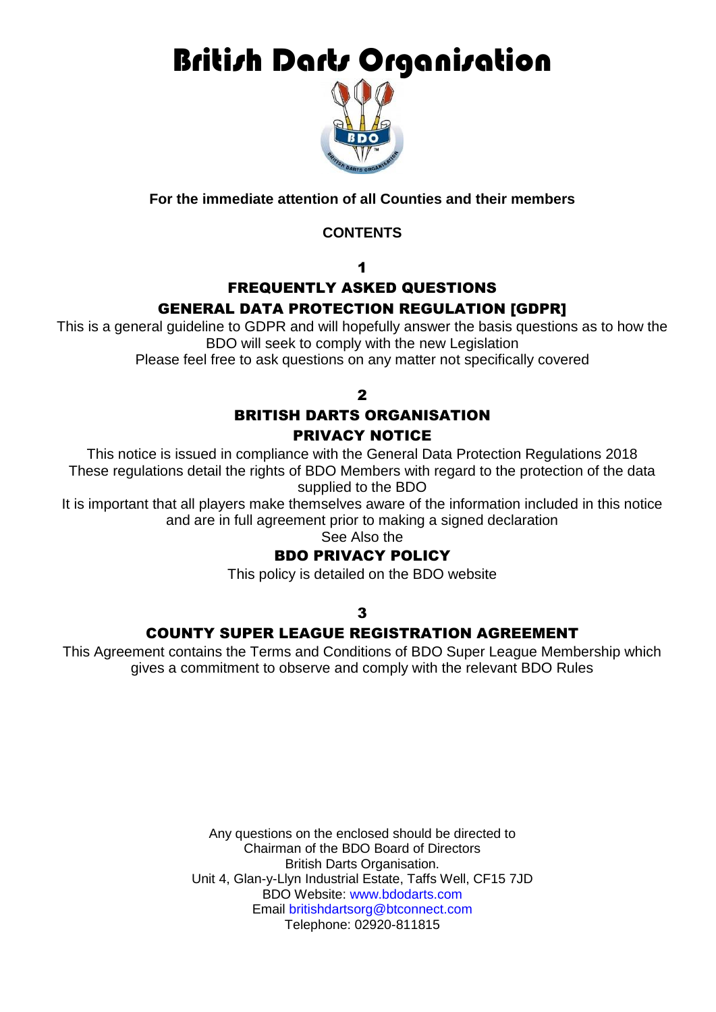**British Darts Organisation** 



# **For the immediate attention of all Counties and their members**

# **CONTENTS**

1

# FREQUENTLY ASKED QUESTIONS GENERAL DATA PROTECTION REGULATION [GDPR]

This is a general guideline to GDPR and will hopefully answer the basis questions as to how the BDO will seek to comply with the new Legislation

Please feel free to ask questions on any matter not specifically covered

 $\overline{\mathbf{z}}$ 

# BRITISH DARTS ORGANISATION PRIVACY NOTICE

This notice is issued in compliance with the General Data Protection Regulations 2018 These regulations detail the rights of BDO Members with regard to the protection of the data supplied to the BDO

It is important that all players make themselves aware of the information included in this notice and are in full agreement prior to making a signed declaration

See Also the

# BDO PRIVACY POLICY

This policy is detailed on the BDO website

3

# COUNTY SUPER LEAGUE REGISTRATION AGREEMENT

This Agreement contains the Terms and Conditions of BDO Super League Membership which gives a commitment to observe and comply with the relevant BDO Rules

> Any questions on the enclosed should be directed to Chairman of the BDO Board of Directors British Darts Organisation. Unit 4, Glan-y-Llyn Industrial Estate, Taffs Well, CF15 7JD BDO Website: www.bdodarts.com Email britishdartsorg@btconnect.com Telephone: 02920-811815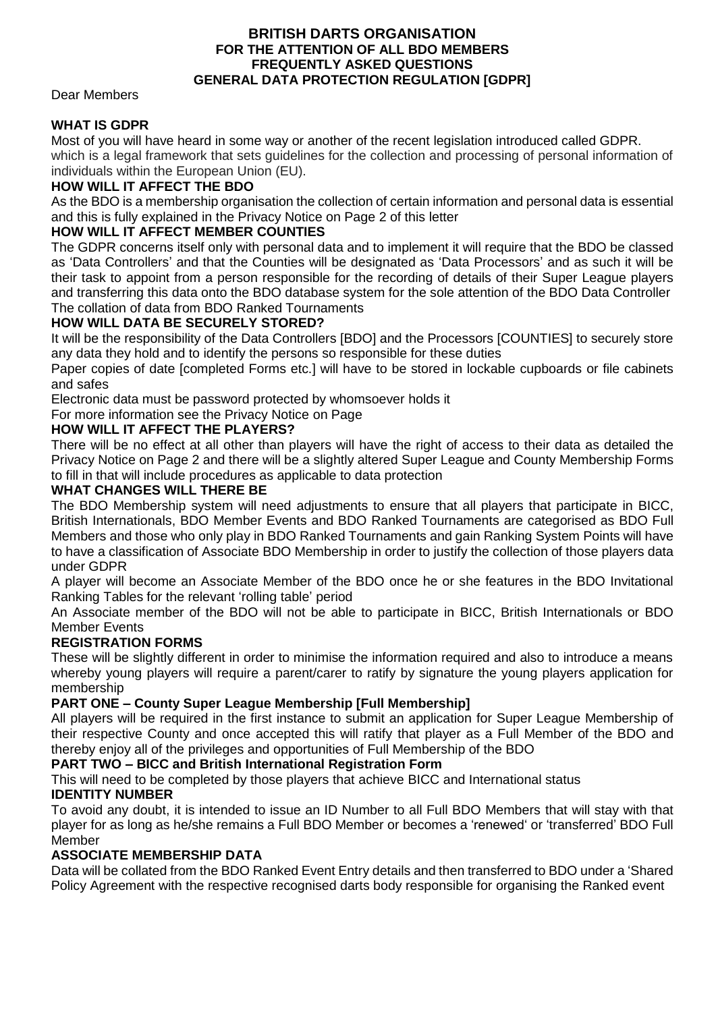### **BRITISH DARTS ORGANISATION FOR THE ATTENTION OF ALL BDO MEMBERS FREQUENTLY ASKED QUESTIONS GENERAL DATA PROTECTION REGULATION [GDPR]**

Dear Members

# **WHAT IS GDPR**

Most of you will have heard in some way or another of the recent legislation introduced called GDPR. which is a legal framework that sets guidelines for the collection and processing of personal information of individuals within the European Union (EU).

## **HOW WILL IT AFFECT THE BDO**

As the BDO is a membership organisation the collection of certain information and personal data is essential and this is fully explained in the Privacy Notice on Page 2 of this letter

## **HOW WILL IT AFFECT MEMBER COUNTIES**

The GDPR concerns itself only with personal data and to implement it will require that the BDO be classed as 'Data Controllers' and that the Counties will be designated as 'Data Processors' and as such it will be their task to appoint from a person responsible for the recording of details of their Super League players and transferring this data onto the BDO database system for the sole attention of the BDO Data Controller The collation of data from BDO Ranked Tournaments

## **HOW WILL DATA BE SECURELY STORED?**

It will be the responsibility of the Data Controllers [BDO] and the Processors [COUNTIES] to securely store any data they hold and to identify the persons so responsible for these duties

Paper copies of date [completed Forms etc.] will have to be stored in lockable cupboards or file cabinets and safes

Electronic data must be password protected by whomsoever holds it

For more information see the Privacy Notice on Page

## **HOW WILL IT AFFECT THE PLAYERS?**

There will be no effect at all other than players will have the right of access to their data as detailed the Privacy Notice on Page 2 and there will be a slightly altered Super League and County Membership Forms to fill in that will include procedures as applicable to data protection

## **WHAT CHANGES WILL THERE BE**

The BDO Membership system will need adjustments to ensure that all players that participate in BICC, British Internationals, BDO Member Events and BDO Ranked Tournaments are categorised as BDO Full Members and those who only play in BDO Ranked Tournaments and gain Ranking System Points will have to have a classification of Associate BDO Membership in order to justify the collection of those players data under GDPR

A player will become an Associate Member of the BDO once he or she features in the BDO Invitational Ranking Tables for the relevant 'rolling table' period

An Associate member of the BDO will not be able to participate in BICC, British Internationals or BDO Member Events

# **REGISTRATION FORMS**

These will be slightly different in order to minimise the information required and also to introduce a means whereby young players will require a parent/carer to ratify by signature the young players application for membership

## **PART ONE – County Super League Membership [Full Membership]**

All players will be required in the first instance to submit an application for Super League Membership of their respective County and once accepted this will ratify that player as a Full Member of the BDO and thereby enjoy all of the privileges and opportunities of Full Membership of the BDO

## **PART TWO – BICC and British International Registration Form**

This will need to be completed by those players that achieve BICC and International status

## **IDENTITY NUMBER**

To avoid any doubt, it is intended to issue an ID Number to all Full BDO Members that will stay with that player for as long as he/she remains a Full BDO Member or becomes a 'renewed' or 'transferred' BDO Full Member

## **ASSOCIATE MEMBERSHIP DATA**

Data will be collated from the BDO Ranked Event Entry details and then transferred to BDO under a 'Shared Policy Agreement with the respective recognised darts body responsible for organising the Ranked event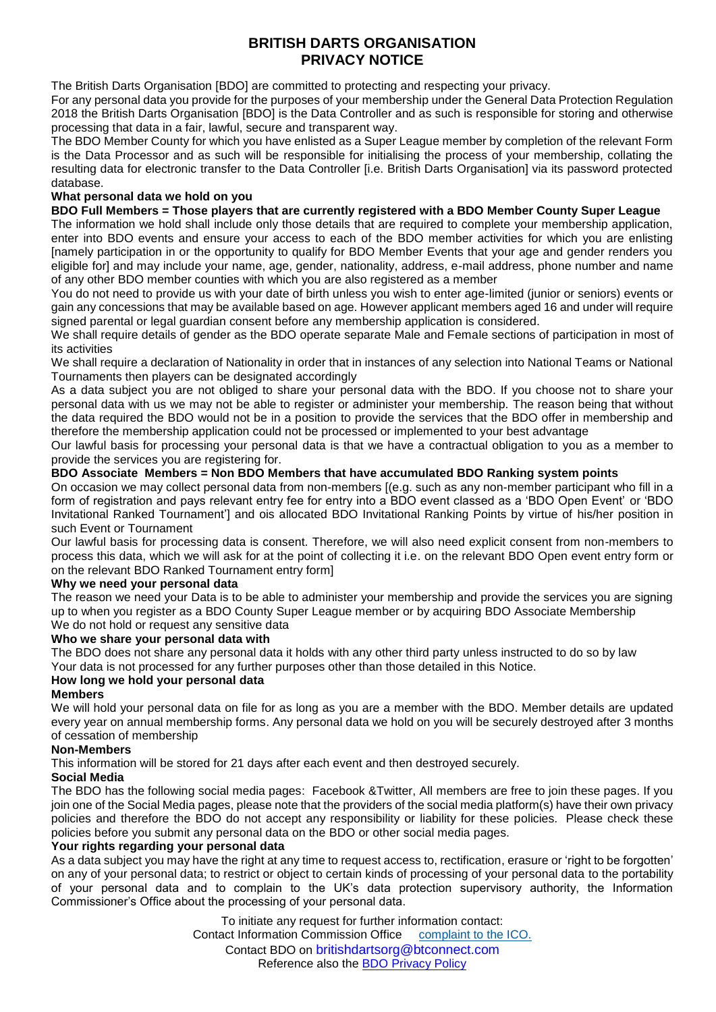## **BRITISH DARTS ORGANISATION PRIVACY NOTICE**

The British Darts Organisation [BDO] are committed to protecting and respecting your privacy.

For any personal data you provide for the purposes of your membership under the General Data Protection Regulation 2018 the British Darts Organisation [BDO] is the Data Controller and as such is responsible for storing and otherwise processing that data in a fair, lawful, secure and transparent way.

The BDO Member County for which you have enlisted as a Super League member by completion of the relevant Form is the Data Processor and as such will be responsible for initialising the process of your membership, collating the resulting data for electronic transfer to the Data Controller [i.e. British Darts Organisation] via its password protected database.

#### **What personal data we hold on you**

### **BDO Full Members = Those players that are currently registered with a BDO Member County Super League**

The information we hold shall include only those details that are required to complete your membership application, enter into BDO events and ensure your access to each of the BDO member activities for which you are enlisting [namely participation in or the opportunity to qualify for BDO Member Events that your age and gender renders you eligible for] and may include your name, age, gender, nationality, address, e-mail address, phone number and name of any other BDO member counties with which you are also registered as a member

You do not need to provide us with your date of birth unless you wish to enter age-limited (junior or seniors) events or gain any concessions that may be available based on age. However applicant members aged 16 and under will require signed parental or legal guardian consent before any membership application is considered.

We shall require details of gender as the BDO operate separate Male and Female sections of participation in most of its activities

We shall require a declaration of Nationality in order that in instances of any selection into National Teams or National Tournaments then players can be designated accordingly

As a data subject you are not obliged to share your personal data with the BDO. If you choose not to share your personal data with us we may not be able to register or administer your membership. The reason being that without the data required the BDO would not be in a position to provide the services that the BDO offer in membership and therefore the membership application could not be processed or implemented to your best advantage

Our lawful basis for processing your personal data is that we have a contractual obligation to you as a member to provide the services you are registering for.

## **BDO Associate Members = Non BDO Members that have accumulated BDO Ranking system points**

On occasion we may collect personal data from non-members [(e.g. such as any non-member participant who fill in a form of registration and pays relevant entry fee for entry into a BDO event classed as a 'BDO Open Event' or 'BDO Invitational Ranked Tournament'] and ois allocated BDO Invitational Ranking Points by virtue of his/her position in such Event or Tournament

Our lawful basis for processing data is consent. Therefore, we will also need explicit consent from non-members to process this data, which we will ask for at the point of collecting it i.e. on the relevant BDO Open event entry form or on the relevant BDO Ranked Tournament entry form]

### **Why we need your personal data**

The reason we need your Data is to be able to administer your membership and provide the services you are signing up to when you register as a BDO County Super League member or by acquiring BDO Associate Membership We do not hold or request any sensitive data

### **Who we share your personal data with**

The BDO does not share any personal data it holds with any other third party unless instructed to do so by law Your data is not processed for any further purposes other than those detailed in this Notice.

### **How long we hold your personal data**

#### **Members**

We will hold your personal data on file for as long as you are a member with the BDO. Member details are updated every year on annual membership forms. Any personal data we hold on you will be securely destroyed after 3 months of cessation of membership

### **Non-Members**

This information will be stored for 21 days after each event and then destroyed securely.

### **Social Media**

The BDO has the following social media pages: Facebook &Twitter, All members are free to join these pages. If you join one of the Social Media pages, please note that the providers of the social media platform(s) have their own privacy policies and therefore the BDO do not accept any responsibility or liability for these policies. Please check these policies before you submit any personal data on the BDO or other social media pages.

### **Your rights regarding your personal data**

As a data subject you may have the right at any time to request access to, rectification, erasure or 'right to be forgotten' on any of your personal data; to restrict or object to certain kinds of processing of your personal data to the portability of your personal data and to complain to the UK's data protection supervisory authority, the Information Commissioner's Office about the processing of your personal data.

> To initiate any request for further information contact: Contact Information Commission Office [complaint to the ICO.](https://ico.org.uk/concerns/) Contact BDO on britishdartsorg@btconnect.com Reference also the [BDO Privacy Policy](http://www.bdodarts.com/privacy.php)